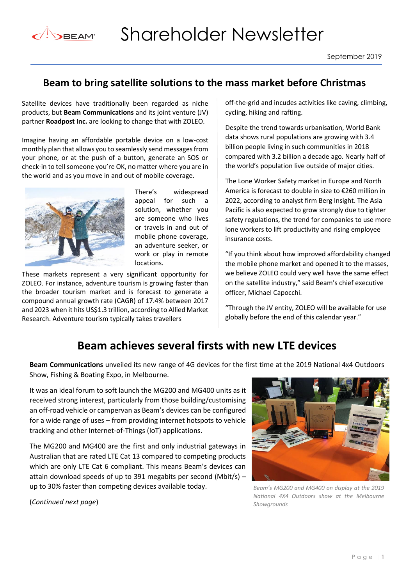

## **Beam to bring satellite solutions to the mass market before Christmas**

Satellite devices have traditionally been regarded as niche products, but **Beam Communications** and its joint venture (JV) partner **Roadpost Inc.** are looking to change that with ZOLEO.

Imagine having an affordable portable device on a low-cost monthly plan that allows you to seamlessly send messages from your phone, or at the push of a button, generate an SOS or check-in to tell someone you're OK, no matter where you are in the world and as you move in and out of mobile coverage.



There's widespread appeal for such a solution, whether you are someone who lives or travels in and out of mobile phone coverage, an adventure seeker, or work or play in remote locations.

These markets represent a very significant opportunity for ZOLEO. For instance, adventure tourism is growing faster than the broader tourism market and is forecast to generate a compound annual growth rate (CAGR) of 17.4% between 2017 and 2023 when it hits US\$1.3 trillion, according to Allied Market Research. Adventure tourism typically takes travellers

off-the-grid and incudes activities like caving, climbing, cycling, hiking and rafting.

Despite the trend towards urbanisation, World Bank data shows rural populations are growing with 3.4 billion people living in such communities in 2018 compared with 3.2 billion a decade ago. Nearly half of the world's population live outside of major cities.

The Lone Worker Safety market in Europe and North America is forecast to double in size to €260 million in 2022, according to analyst firm Berg Insight. The Asia Pacific is also expected to grow strongly due to tighter safety regulations, the trend for companies to use more lone workers to lift productivity and rising employee insurance costs.

"If you think about how improved affordability changed the mobile phone market and opened it to the masses, we believe ZOLEO could very well have the same effect on the satellite industry," said Beam's chief executive officer, Michael Capocchi.

"Through the JV entity, ZOLEO will be available for use globally before the end of this calendar year."

## **Beam achieves several firsts with new LTE devices**

**Beam Communications** unveiled its new range of 4G devices for the first time at the 2019 National 4x4 Outdoors Show, Fishing & Boating Expo, in Melbourne.

It was an ideal forum to soft launch the MG200 and MG400 units as it received strong interest, particularly from those building/customising an off-road vehicle or campervan as Beam's devices can be configured for a wide range of uses – from providing internet hotspots to vehicle tracking and other Internet-of-Things (IoT) applications.

The MG200 and MG400 are the first and only industrial gateways in Australian that are rated LTE Cat 13 compared to competing products which are only LTE Cat 6 compliant. This means Beam's devices can attain download speeds of up to 391 megabits per second (Mbit/s)  $$ up to 30% faster than competing devices available today.



*Beam's MG200 and MG400 on display at the 2019 National 4X4 Outdoors show at the Melbourne Showgrounds*

(*Continued next page*)